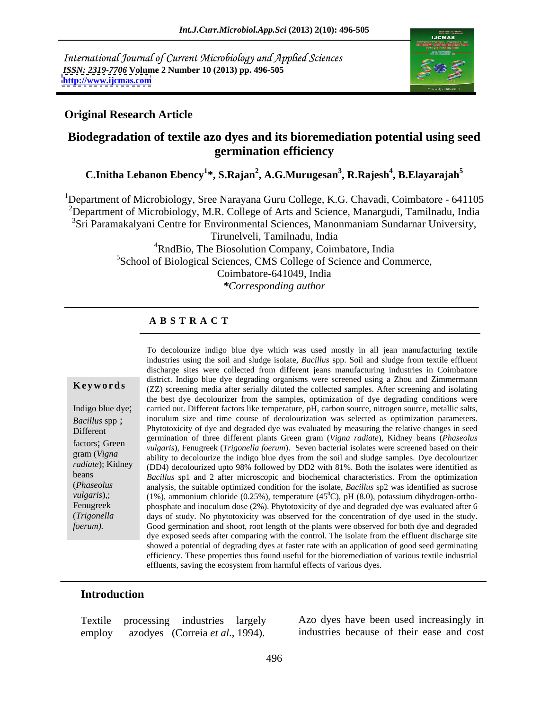International Journal of Current Microbiology and Applied Sciences *ISSN: 2319-7706* **Volume 2 Number 10 (2013) pp. 496-505 <http://www.ijcmas.com>**



#### **Original Research Article**

## **Biodegradation of textile azo dyes and its bioremediation potential using seed germination efficiency**

**C.Initha Lebanon Ebency<sup>1</sup> \*, S.Rajan<sup>2</sup> , A.G.Murugesan<sup>3</sup> , R.Rajesh<sup>4</sup> , B.Elayarajah<sup>5</sup>**

<sup>1</sup>Department of Microbiology, Sree Narayana Guru College, K.G. Chavadi, Coimbatore - 641105 <sup>2</sup>Department of Microbiology, M.R. College of Arts and Science, Manargudi, Tamilnadu, India <sup>3</sup>Sri Paramakalyani Centre for Environmental Sciences, Manonmaniam Sundarnar University, Tirunelveli, Tamilnadu, India <sup>4</sup>RndBio, The Biosolution Company, Coimbatore, India <sup>5</sup>School of Biological Sciences, CMS College of Science and Commerce, Coimbatore-641049, India

*\*Corresponding author*

### **A B S T R A C T**

**Keywords** (ZZ) screening media after serially diluted the collected samples. After screening and isolating Indigo blue dye; carried out. Different factors like temperature, pH, carbon source, nitrogen source, metallic salts, *Bacillus* spp; inoculum size and time course of decolourization was selected as optimization parameters. Different **Phytotoxicity of dye and degraded dye was evaluated by measuring the relative changes in seed** factors; Green *vulgaris*), Fenugreek (*Trigonella foerum*). Seven bacterial isolates were screened based on their gram (*Vigna* ability to decolourize the indigo blue dyes from the soil and sludge samples. Dye decolourizer *radiate*); Kidney (DD4) decolourized upto 98% followed by DD2 with 81%. Both the isolates were identified as beans *Bacillus* sp1 and 2 after microscopic and biochemical characteristics. From the optimization (*Phaseolus*  analysis, the suitable optimized condition for the isolate, *Bacillus* sp2 was identified as sucrose *vulgaris*),; (1%), ammonium chloride (0.25%), temperature (45<sup>°</sup>C), pH (8.0), potassium dihydrogen-ortho-Fenugreek phosphate and inoculum dose (2%). Phytotoxicity of dye and degraded dye was evaluated after 6 (*Trigonella*  days of study. No phytotoxicity was observed for the concentration of dyeused in the study. *foerum*). Good germination and shoot, root length of the plants were observed for both dye and degraded To decolourize indigo blue dye which was used mostly in all jean manufacturing textile industries using the soil and sludge isolate, *Bacillus* spp. Soil and sludge from textile effluent discharge sites were collected from different jeans manufacturing industries in Coimbatore district. Indigo blue dye degrading organisms were screened using a Zhou and Zimmermann the best dye decolourizer from the samples, optimization of dye degrading conditions were germination of three different plants Green gram (*Vigna radiate*), Kidney beans (*Phaseolus*   $^{0}$ C), pH (8.0), potassium dihydrogen-orthodye exposed seeds after comparing with the control. The isolate from the effluent discharge site showed a potential of degrading dyes at faster rate with an application of good seed germinating efficiency. These properties thus found useful for the bioremediation of various textile industrial effluents, saving the ecosystem from harmful effects of various dyes.

#### **Introduction**

employ azodyes (Correia *et al*., 1994). industries because of their ease and cost

Textile processing industries largely Azo dyes have been used increasingly in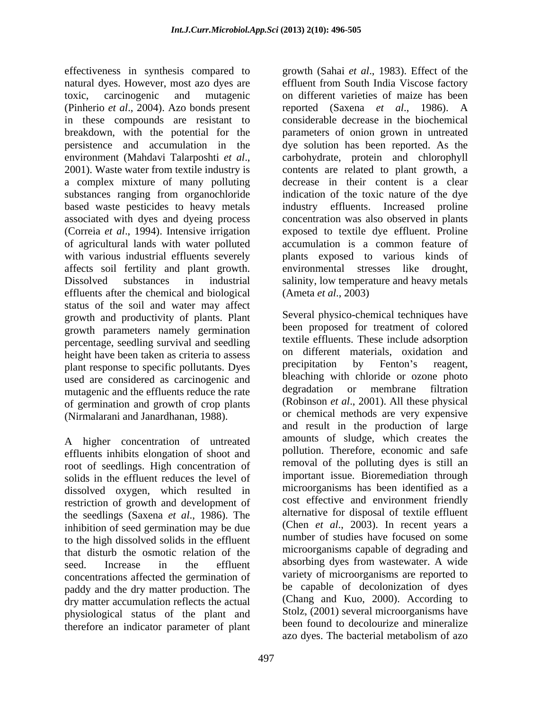effectiveness in synthesis compared to growth (Sahai *et al*.,1983). Effect of the natural dyes. However, most azo dyes are effluent from South India Viscose factory toxic, carcinogenic and mutagenic on different varieties of maize has been (Pinherio *et al*., 2004). Azo bonds present in these compounds are resistant to breakdown, with the potential for the parameters of onion grown in untreated persistence and accumulation in the dye solution has been reported. As the environment (Mahdavi Talarposhti *et al*., 2001). Waste water from textile industry is a complex mixture of many polluting substances ranging from organochloride based waste pesticides to heavy metals associated with dyes and dyeing process concentration was also observed in plants (Correia *et al*., 1994). Intensive irrigation exposed to textile dye effluent. Proline of agricultural lands with water polluted with various industrial effluents severely plants exposed to various kinds of affects soil fertility and plant growth. Dissolved substances in industrial salinity, low temperature and heavy metals effluents after the chemical and biological status of the soil and water may affect growth and productivity of plants. Plant growth parameters namely germination percentage, seedling survival and seedling height have been taken as criteria to assess on different materials, oxidation and plant response to specific pollutants. Dives precipitation by Fenton's reagent, plant response to specific pollutants. Dyes used are considered as carcinogenic and<br>mutagenic and the effluents reduce the rate degradation or membrane filtration mutagenic and the effluents reduce the rate of germination and growth of crop plants (Nirmalarani and Janardhanan, 1988).

A higher concentration of untreated effluents inhibits elongation of shoot and root of seedlings. High concentration of solids in the effluent reduces the level of dissolved oxygen, which resulted in restriction of growth and development of the seedlings (Saxena *et al*., 1986). The inhibition of seed germination may be due to the high dissolved solids in the effluent that disturb the osmotic relation of the concentrations affected the germination of paddy and the dry matter production. The dry matter accumulation reflects the actual physiological status of the plant and

reported (Saxena *et al*., 1986). A considerable decrease in the biochemical carbohydrate, protein and chlorophyll contents are related to plant growth, a decrease in their content is a clear indication of the toxic nature of the dye industry effluents. Increased proline accumulation is a common feature of environmental stresses like (Ameta *et al*., 2003)

seed. Increase in the effluent absorbing dyes from wastewater. A wide therefore an indicator parameter of plant been found to decolourize and mineralize<br>azo dyes. The bacterial metabolism of azo Several physico-chemical techniques have been proposed for treatment of colored textile effluents. These include adsorption on different materials, oxidation and precipitation by Fenton's reagent, bleaching with chloride or ozone photo degradation or membrane (Robinson *et al*., 2001). All these physical or chemical methods are very expensive and result in the production of large amounts of sludge, which creates the pollution. Therefore, economic and safe removal of the polluting dyes is still an important issue. Bioremediation through microorganisms has been identified as a cost effective and environment friendly alternative for disposal of textile effluent (Chen *et al*., 2003). In recent years a number of studies have focused on some microorganisms capable of degrading and variety of microorganisms are reported to be capable of decolonization of dyes (Chang and Kuo, 2000). According to Stolz, (2001) several microorganisms have been found to decolourize and mineralize azo dyes. The bacterial metabolism of azo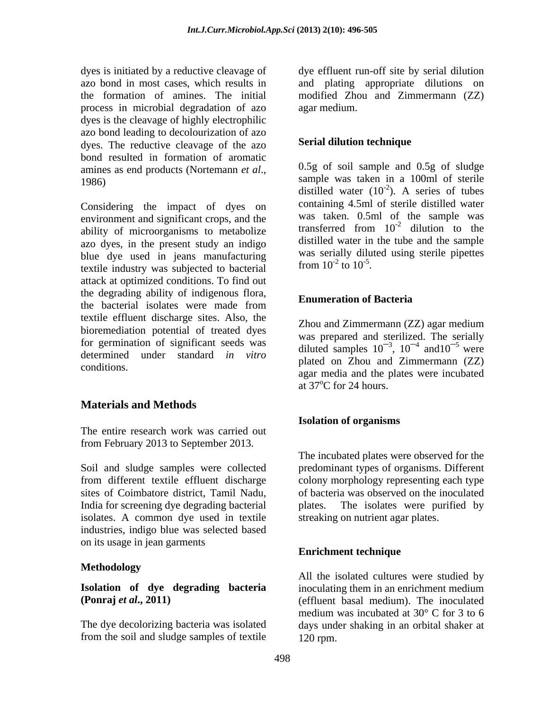process in microbial degradation of azo dyes is the cleavage of highly electrophilic azo bond leading to decolourization of azo dyes. The reductive cleavage of the azo bond resulted in formation of aromatic

Considering the impact of dyes on environment and significant crops, and the was taken. 0.5ml of the sample was evily a straight example was transferred from  $10^{-2}$  dilution to the ability of microorganisms to metabolize azo dyes, in the present study an indigo blue dye used in jeans manufacturing was serially dilu<br>textile inductry was subjected to bectorial from  $10^{-2}$  to  $10^{-5}$ textile industry was subjected to bacterial attack at optimized conditions. To find out the degrading ability of indigenous flora,<br> **Enumeration of Bacteria** the bacterial isolates were made from **Elianteration** of **Bacteria** textile effluent discharge sites. Also, the<br>
Zhou and Zimmermann (ZZ) agar medium bioremediation potential of treated dyes for germination of significant seeds was determined under standard *in vitro*

## **Materials and Methods**

The entire research work was carried out from February 2013 to September 2013.

Soil and sludge samples were collected predominant types of organisms. Different from different textile effluent discharge colony morphology representing each type sites of Coimbatore district, Tamil Nadu, India for screening dye degrading bacterial isolates. A common dye used in textile industries, indigo blue was selected based on its usage in jean garments<br>
Enrichment technique

#### **Methodology**

from the soil and sludge samples of textile

dyes is initiated by a reductive cleavage of dye effluent run-off site by serial dilution azo bond in most cases, which results in and plating appropriate dilutions on the formation of amines. The initial modified Zhou and Zimmermann (ZZ) agar medium.

### **Serial dilution technique**

amines as end products (Nortemann *et al.*, 0.5g of soil sample and 0.5g of sludge sample was taken in a 100ml of sterile 0.5g of soil sample and 0.5g of sludge sample was taken in a 100ml of sterile distilled water  $(10^{-2})$ . A series of tubes  $-2$ ) A sories of types ). A series of tubes containing 4.5ml of sterile distilled water was taken. 0.5ml of the sample was transferred from  $10^{-2}$  dilution to the  $-2$  dilution to the dilution to the distilled water in the tube and the sample was serially diluted using sterile pipettes from  $10^{-2}$  to  $10^{-5}$ . to  $10^{-5}$ . .

### **Enumeration of Bacteria**

conditions. agar media and the plates were incubated Zhou and Zimmermann (ZZ) agar medium was prepared and sterilized. The serially diluted samples  $10^{-3}$ ,  $10^{-4}$  and  $10^{-5}$  were  $, 10^{-4}$  and  $10^{-5}$  were and  $10^{-5}$  were plated on Zhou and Zimmermann (ZZ) at  $37^{\circ}$ C for 24 hours.

#### **Isolation of organisms**

The incubated plates were observed for the of bacteria was observed on the inoculated The isolates were purified by streaking on nutrient agar plates.

#### **Enrichment technique**

**Isolation of dye degrading bacteria** inoculating them in an enrichment medium **(Ponraj** *et al.***, 2011)** (effluent basal medium). The inoculated The dye decolorizing bacteria was isolated days under shaking in an orbital shaker at All the isolated cultures were studied by medium was incubated at 30° C for 3 to 6 120 rpm.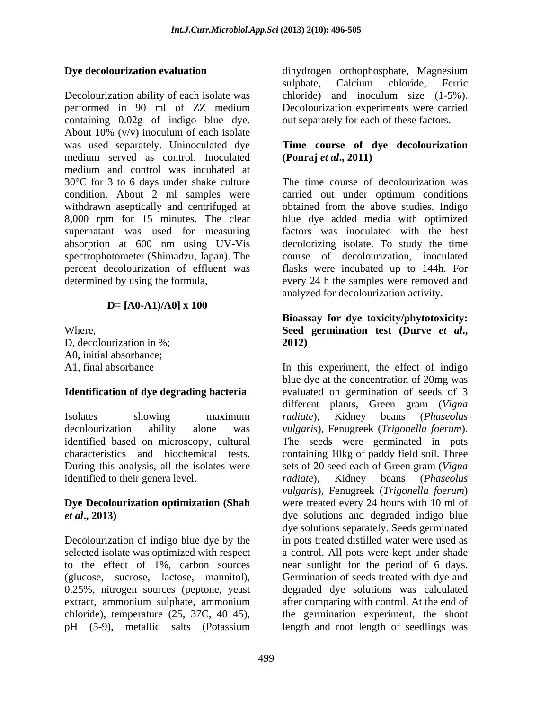Decolourization ability of each isolate was chloride) and inoculum size (1-5%). performed in 90 ml of ZZ medium Decolourization experiments were carried containing 0.02g of indigo blue dye. About 10% (v/v) inoculum of each isolate was used separately. Uninoculated dye **Time course of dye decolourization** medium served as control. Inoculated medium and control was incubated at 30°C for 3 to 6 days under shake culture condition. About 2 ml samples were carried out under optimum conditions withdrawn aseptically and centrifuged at obtained from the above studies. Indigo 8,000 rpm for 15 minutes. The clear blue dye added media with optimized supernatant was used for measuring factors was inoculated with the best absorption at 600 nm using UV-Vis decolorizing isolate. To study the time spectrophotometer (Shimadzu, Japan). The course of decolourization, inoculated percent decolourization of effluent was flasks were incubated up to 144h. For determined by using the formula, every 24 h the samples were removed and

### **D= [A0-A1)/A0] x 100**

D, decolourization in %; 2012) A0, initial absorbance;

### **Identification of dye degrading bacteria**

decolourization ability alone was *vulgaris*), Fenugreek (*Trigonella foerum*). identified based on microscopy, cultural The seeds were germinated in pots During this analysis, all the isolates were sets of 20 seed each of Green gram (Vigna) identified to their genera level. *radiate*), Kidney beans (*Phaseolus* 

# **Dye Decolourization optimization (Shah**

to the effect of 1%, carbon sources are sunlight for the period of 6 days.<br>(glucose, sucrose, lactose, mannitol). Germination of seeds treated with dve and (glucose, sucrose, lactose, mannitol), 0.25%, nitrogen sources (peptone, yeast extract, ammonium sulphate, ammonium pH (5-9), metallic salts (Potassium length and root length of seedlings was

**Dye decolourization evaluation** dihydrogen orthophosphate, Magnesium sulphate, Calcium chloride, Ferric chloride) and inoculum size (1-5%). out separately for each of these factors.

# **(Ponraj** *et al***., 2011)**

The time course of decolourization was analyzed for decolourization activity.

#### Where, Seed germination test (Durve et al., **Bioassay for dye toxicity/phytotoxicity: Seed germination test (Durve** *et al***., 2012)**

A1, final absorbance In this experiment, the effect of indigo Isolates showing maximum radiate), Kidney beans (Phaseolus characteristics and biochemical tests. containing 10kg of paddy field soil. Three *et al***., 2013)** dye solutions and degraded indigo blue Decolourization of indigo blue dye by the in pots treated distilled water were used as selected isolate was optimized with respect a control. All pots were kept under shade chloride), temperature (25, 37C, 40 45), the germination experiment, the shoot blue dye at the concentration of 20mg was evaluated on germination of seeds of 3 different plants, Green gram (*Vigna radiate*), Kidney beans (*Phaseolus vulgaris*), Fenugreek (*Trigonella foerum*). The seeds were germinated in pots sets of 20 seed each of Green gram (*Vigna radiate*), Kidney beans (*Phaseolus vulgaris*), Fenugreek (*Trigonella foerum*) were treated every 24 hours with 10 ml of dye solutions separately. Seeds germinated near sunlight for the period of <sup>6</sup> days. Germination of seeds treated with dye and degraded dye solutions was calculated after comparing with control. At the end of length and root length of seedlings was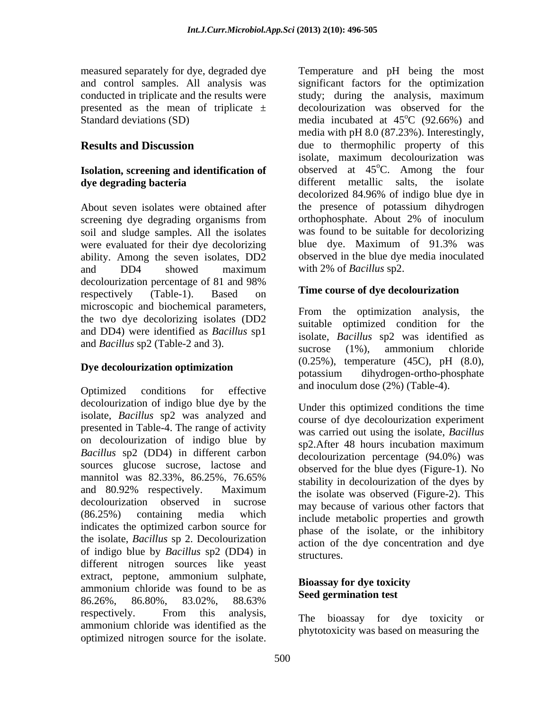measured separately for dye, degraded dye Temperature and pH being the most

# **Isolation, screening and identification of**

soil and sludge samples. All the isolates were evaluated for their dye decolorizing<br>ability. Among the seven isolates, DD2 observed in the blue dye media inoculated and DD4 showed maximum with 2% of Bacillus sp2. decolourization percentage of 81 and 98% respectively (Table-1). Based on **Time course of aye decolourization** microscopic and biochemical parameters,<br>From the optimization analysis, the the two dye decolorizing isolates (DD2 suitable optimized condition for the and DD4) were identified as *Bacillus* sp1

Optimized conditions for effective  $\frac{d\ln(\ln(\text{U}) - \ln(\text{U}) - \ln(\text{U}) - \ln(\text{U})}{d\ln(\text{U}) - \ln(\text{U}) - \ln(\text{U})}$ decolourization of indigo blue dye by the isolate, *Bacillus* sp2 was analyzed and presented in Table-4. The range of activity on decolourization of indigo blue by sp2. After 48 hours incubation maximum *Bacillus* sp2 (DD4) in different carbon sources glucose sucrose, lactose and mannitol was  $82.33\%$ ,  $86.25\%$ ,  $76.65\%$  experience the state type (eigence by  $\frac{1}{2}$ ). and  $80.92\%$  respectively. Maximum the isolate was observed (Figure-2) This decolourization observed in sucrose may because of various other factors that (86.25%) containing media which include metabolic properties and growth indicates the optimized carbon source for the isolate, *Bacillus* sp 2. Decolourization of indigo blue by *Bacillus* sp2 (DD4) in different nitrogen sources like yeast extract, peptone, ammonium sulphate,<br>Bioassay for dye toxicity ammonium chloride was found to be as 86.26%, 86.80%, 83.02%, 88.63% respectively. From this analysis, The biograpy for dve toxicity or respectively. The highest respectively. The bioassay for dye toxicity or<br>ammonium chloride was identified as the substantially use based as magazing the optimized nitrogen source for the isolate.

and control samples. All analysis was significant factors for the optimization conducted in triplicate and the results were study; during the analysis, maximum presented as the mean of triplicate ± decolourization was observed for the Standard deviations (SD) media incubated at 45<sup>o</sup>C (92.66%) and **Results and Discussion** due to thermophilic property of this dye degrading bacteria **different** metallic salts, the isolate About seven isolates were obtained after the presence of potassium dihydrogen screening dye degrading organisms from orthophosphate. About 2% of inoculum ability. Among the seven isolates, DD2 observed in the blue dye media inoculated  $^{\circ}$ C (92.66%) and media with pH 8.0 (87.23%). Interestingly, isolate, maximum decolourization was observed at  $45^{\circ}$ C. Among the four  ${}^{\circ}$ C. Among the four decolorized 84.96% of indigo blue dye in orthophosphate. About 2% of inoculum was found to be suitable for decolorizing blue dye. Maximum of 91.3% was with 2% of *Bacillus* sp2.

#### **Time course of dye decolourization**

and *Bacillus* sp2 (Table-2 and 3). Succession successive spectral successive spectral successive successive successive successive successive successive successive successive successive successive successive successive suc **Dye decolourization optimization**<br>potassium dihydrogen-ortho-phosphate From the optimization analysis, the suitable optimized condition for isolate, *Bacillus* sp2 was identified as sucrose (1%), ammonium chloride (0.25%), temperature (45C), pH (8.0), potassium dihydrogen-ortho-phosphate and inoculum dose (2%) (Table-4).

> Under this optimized conditions the time course of dye decolourization experiment was carried out using the isolate, *Bacillus* sp2.After 48 hours incubation maximum decolourization percentage (94.0%) was observed for the blue dyes (Figure-1). No stability in decolourization of the dyes by the isolate was observed (Figure-2). This phase of the isolate, or the inhibitory action of the dye concentration and dye structures.

### **Bioassay for dye toxicity Seed germination test**

The bioassay for dye toxicity phytotoxicity was based on measuring the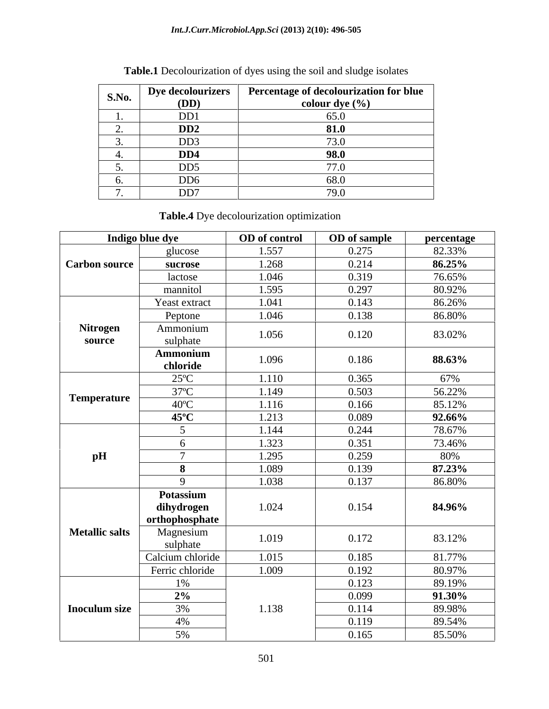#### *Int.J.Curr.Microbiol.App.Sci* **(2013) 2(10): 496-505**

| S.No. | <b>Dye decolourizers</b> | Percentage of decolourization for blue |  |  |
|-------|--------------------------|----------------------------------------|--|--|
|       | (DD)                     | colour dye $(\% )$                     |  |  |
|       | D <sub>D</sub> 1         | 65.0                                   |  |  |
|       | D <sub>D</sub>           | 81.0                                   |  |  |
|       | DD <sub>3</sub>          | 73.0                                   |  |  |
|       | DD <sub>4</sub>          | 98.0                                   |  |  |
|       | DD <sub>5</sub>          | 77.0                                   |  |  |
|       | DD <sub>6</sub>          | 68.0                                   |  |  |
|       | DD7                      | 79.0                                   |  |  |

## **Table.1** Decolourization of dyes using the soil and sludge isolates

**Table.4** Dye decolourization optimization

| Indigo blue dye       |                                           | <b>OD</b> of control | <b>OD</b> of sample | percentage |
|-----------------------|-------------------------------------------|----------------------|---------------------|------------|
|                       | glucose                                   | 1.557                | 0.275               | 82.33%     |
| Carbon source         | sucrose                                   | 1.268                | 0.214               | $86.25\%$  |
|                       | lactose                                   | 1.046                | 0.319               | 76.65%     |
|                       | mannitol                                  | 1.595                | 0.297               | 80.92%     |
|                       | Yeast extract                             | 1.041                | 0.143               | 86.26%     |
|                       | Peptone                                   | 1.046                | 0.138               | 86.80%     |
| Nitrogen<br>source    | Ammonium<br>sulphate                      | 1.056                | 0.120               | 83.02%     |
|                       | Ammonium<br>chloride                      | 1.096                | 0.186               | 88.63%     |
|                       | $25^{\circ}$ C                            | 1.110                | 0.365               | 67%        |
| <b>Temperature</b>    | $37^{\circ}$ C                            | 1.149                | 0.503               | 56.22%     |
|                       | $40^{\circ}$ C                            | 1.116                | 0.166               | 85.12%     |
|                       | $45^{\circ}$ C                            | 1.213                | 0.089               | $92.66\%$  |
|                       |                                           | 1.144                | 0.244               | 78.67%     |
|                       |                                           | 1.323                | 0.351               | 73.46%     |
| pH                    |                                           | 1.295                | 0.259               | 80%        |
|                       |                                           | 1.089                | 0.139               | 87.23%     |
|                       |                                           | 1.038                | 0.137               | 86.80%     |
|                       | Potassium<br>dihydrogen<br>orthophosphate | 1.024                | 0.154               | 84.96%     |
| <b>Metallic salts</b> | Magnesium<br>sulphate                     | 1.019                | 0.172               | 83.12%     |
|                       | Calcium chloride                          | 1.015                | 0.185               | 81.77%     |
|                       | Ferric chloride                           | 1.009                | 0.192               | 80.97%     |
|                       | 1%                                        |                      | 0.123               | 89.19%     |
|                       | $\overline{2\%}$                          |                      | 0.099               | 91.30%     |
| <b>Inoculum size</b>  | 3%                                        | 1.138                | 0.114               | 89.98%     |
|                       | 4%                                        |                      | 0.119               | 89.54%     |
|                       | 5%                                        |                      | 0.165               | 85.50%     |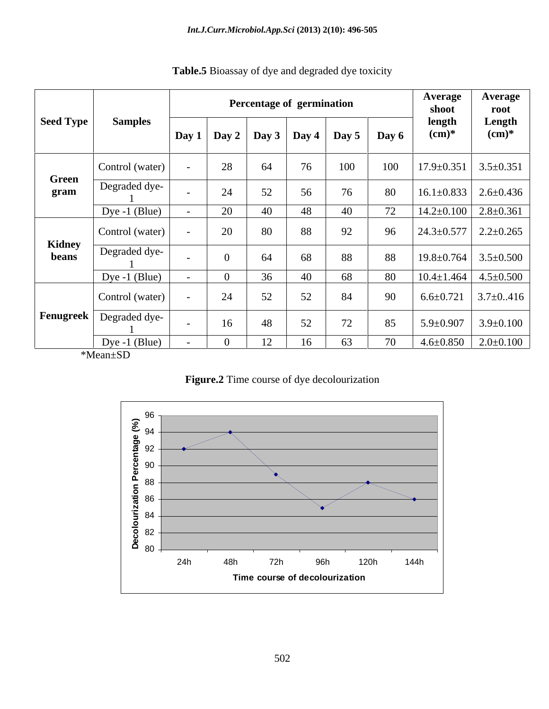|                 | <b>Samples</b>                 |                          |    | Percentage of germination | Average<br>shoot | <b>Average</b><br>root                |       |                                    |                    |
|-----------------|--------------------------------|--------------------------|----|---------------------------|------------------|---------------------------------------|-------|------------------------------------|--------------------|
| Seed Type       |                                |                          |    |                           |                  | Day 1   Day 2   Day 3   Day 4   Day 5 | Day 6 | length<br>$(cm)*$                  | Length<br>$(cm)^*$ |
| Green<br>gram   | Control (water)                |                          | 28 | 64                        | 76               | 100                                   | 100   | $17.9 \pm 0.351$                   | $3.5 \pm 0.351$    |
|                 | Degraded dye-                  |                          | 24 | 52                        | 56               | 76                                    | 80    | $16.1 \pm 0.833$   2.6 $\pm$ 0.436 |                    |
|                 | $\boxed{\text{Dye -1 (Blue)}}$ |                          | 20 | 40                        | 48               | 40                                    | 72    | $14.2 \pm 0.100$                   | $2.8 \pm 0.361$    |
| Kidney<br>beans | Control (water)                |                          | 20 | $80\,$                    | 88               | 92                                    | 96    | $24.3 \pm 0.577$                   | $2.2 \pm 0.265$    |
|                 | Degraded dye-                  | $\overline{\phantom{0}}$ |    | 64                        | 68               | 88                                    | 88    | $19.8 \pm 0.764$ 3.5 $\pm$ 0.500   |                    |
|                 | $\log_e 1 \cdot \text{(Blue)}$ |                          |    | 36                        | 40               | 68                                    | 80    | $10.4 \pm 1.464$                   | $4.5 \pm 0.500$    |
|                 | Control (water)                |                          | 24 | 52                        | 52               | 84                                    | 90    | $6.6 \pm 0.721$                    | $3.7 \pm 0.416$    |
|                 | <b>Fenugreek</b> Degraded dye- |                          | 16 | 48                        | 52               | 72                                    | 85    | $5.9 \pm 0.907$                    | $3.9 \pm 0.100$    |
|                 | $\vert$ Dye -1 (Blue)          | $\sim$                   |    | 12                        | 16               | 63                                    | 70    | $4.6\pm0.850$   $2.0\pm0.100$      |                    |
| *Mean±SD        |                                |                          |    |                           |                  |                                       |       |                                    |                    |

| Table.5 Bioassay<br>of dye and degraded dye toxicity |  |
|------------------------------------------------------|--|
|                                                      |  |
|                                                      |  |

**Figure.2** Time course of dye decolourization

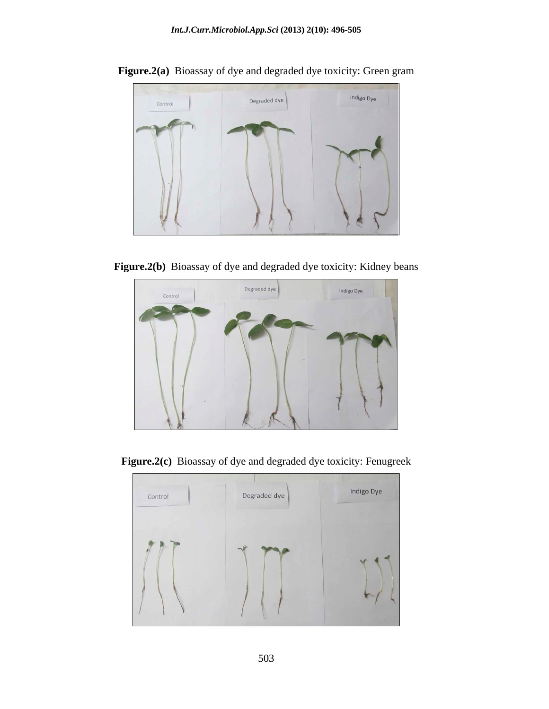

**Figure.2(a)** Bioassay of dye and degraded dye toxicity: Green gram

**Figure.2(b)** Bioassay of dye and degraded dye toxicity: Kidney beans



**Figure.2(c)** Bioassay of dye and degraded dye toxicity: Fenugreek

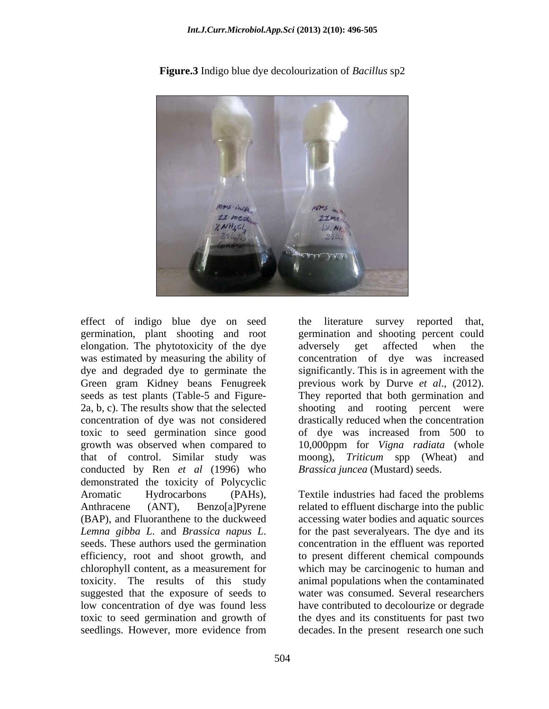

**Figure.3** Indigo blue dye decolourization of *Bacillus* sp2

germination, plant shooting and root elongation. The phytotoxicity of the dye was estimated by measuring the ability of that of control. Similar study was moong), Triticum spp (Wheat) and conducted by Ren *et al* (1996) who demonstrated the toxicity of Polycyclic Aromatic Hydrocarbons (PAHs), Textile industries had faced the problems Anthracene (ANT), Benzo[a]Pyrene related to effluent discharge into the public (BAP), and Fluoranthene to the duckweed accessing water bodies and aquatic sources *Lemna gibba L*. and *Brassica napus L*. for the past severalyears. The dye and its seeds. These authors used the germination concentration in the effluent was reported efficiency, root and shoot growth, and to present different chemical compounds chlorophyll content, as a measurement for which may be carcinogenic to human and toxicity. The results of this study suggested that the exposure of seeds to low concentration of dye was found less have contributed to decolourize or degrade toxic to seed germination and growth of the dyes and its constituents for past two

effect of indigo blue dye on seed the literature survey reported that, dye and degraded dye to germinate the significantly. This is in agreement with the Green gram Kidney beans Fenugreek previous work by Durve *et al*., (2012). seeds as test plants (Table-5 and Figure- They reported that both germination and 2a, b, c). The results show that the selected shooting and rooting percent were concentration of dye was not considered drastically reduced when the concentration toxic to seed germination since good of dye was increased from 500 to growth was observed when compared to 10,000ppm for *Vigna radiata* (whole the literature survey reported that, germination and shooting percent could adversely get affected when the concentration of dye was increased moong), *Triticum* spp (Wheat) and *Brassica juncea* (Mustard) seeds.

seedlings. However, more evidence from decades. In the present research one such for the past severalyears. The dye and its concentration in the effluent was reported animal populations when the contaminated water was consumed. Several researchers